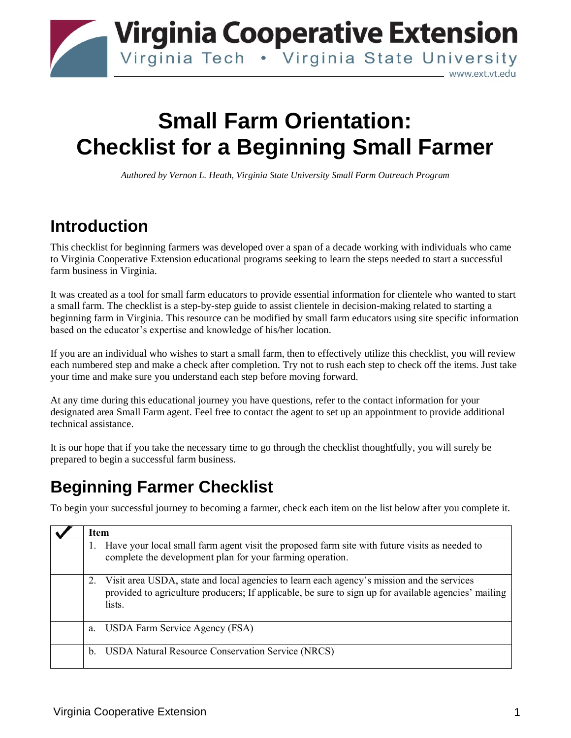

# **Small Farm Orientation: Checklist for a Beginning Small Farmer**

*Authored by Vernon L. Heath, Virginia State University Small Farm Outreach Program* 

# **Introduction**

This checklist for beginning farmers was developed over a span of a decade working with individuals who came to Virginia Cooperative Extension educational programs seeking to learn the steps needed to start a successful farm business in Virginia.

It was created as a tool for small farm educators to provide essential information for clientele who wanted to start a small farm. The checklist is a step-by-step guide to assist clientele in decision-making related to starting a beginning farm in Virginia. This resource can be modified by small farm educators using site specific information based on the educator's expertise and knowledge of his/her location.

If you are an individual who wishes to start a small farm, then to effectively utilize this checklist, you will review each numbered step and make a check after completion. Try not to rush each step to check off the items. Just take your time and make sure you understand each step before moving forward.

At any time during this educational journey you have questions, refer to the contact information for your designated area Small Farm agent. Feel free to contact the agent to set up an appointment to provide additional technical assistance.

It is our hope that if you take the necessary time to go through the checklist thoughtfully, you will surely be prepared to begin a successful farm business.

# **Beginning Farmer Checklist**

To begin your successful journey to becoming a farmer, check each item on the list below after you complete it.

| Item                                                                                                                                                                                                        |
|-------------------------------------------------------------------------------------------------------------------------------------------------------------------------------------------------------------|
| Have your local small farm agent visit the proposed farm site with future visits as needed to<br>complete the development plan for your farming operation.                                                  |
| Visit area USDA, state and local agencies to learn each agency's mission and the services<br>provided to agriculture producers; If applicable, be sure to sign up for available agencies' mailing<br>lists. |
| USDA Farm Service Agency (FSA)<br>a.                                                                                                                                                                        |
| <b>USDA Natural Resource Conservation Service (NRCS)</b><br>$\mathbf b$ .                                                                                                                                   |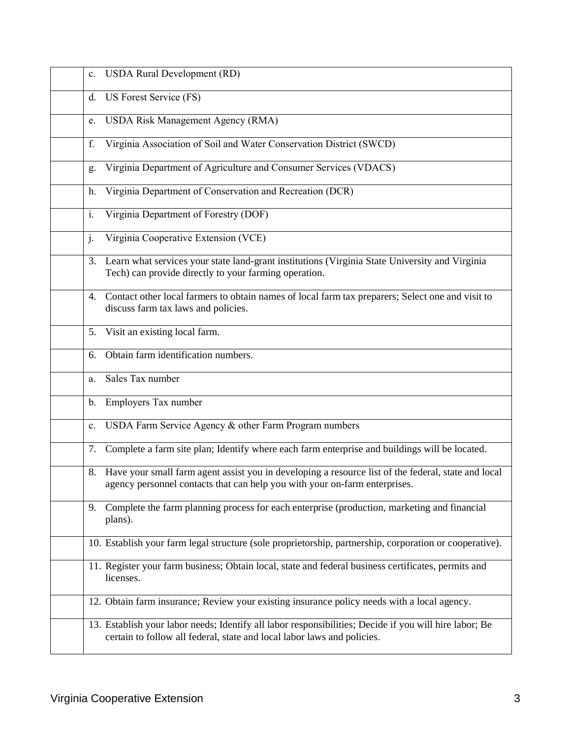| $\mathbf{c}$ . | <b>USDA Rural Development (RD)</b>                                                                                                                                                   |
|----------------|--------------------------------------------------------------------------------------------------------------------------------------------------------------------------------------|
| d.             | US Forest Service (FS)                                                                                                                                                               |
| e.             | <b>USDA Risk Management Agency (RMA)</b>                                                                                                                                             |
| f.             | Virginia Association of Soil and Water Conservation District (SWCD)                                                                                                                  |
| g.             | Virginia Department of Agriculture and Consumer Services (VDACS)                                                                                                                     |
| h.             | Virginia Department of Conservation and Recreation (DCR)                                                                                                                             |
| i.             | Virginia Department of Forestry (DOF)                                                                                                                                                |
| $\mathbf{j}$ . | Virginia Cooperative Extension (VCE)                                                                                                                                                 |
| 3.             | Learn what services your state land-grant institutions (Virginia State University and Virginia<br>Tech) can provide directly to your farming operation.                              |
| 4.             | Contact other local farmers to obtain names of local farm tax preparers; Select one and visit to<br>discuss farm tax laws and policies.                                              |
|                | 5. Visit an existing local farm.                                                                                                                                                     |
| 6.             | Obtain farm identification numbers.                                                                                                                                                  |
| a.             | Sales Tax number                                                                                                                                                                     |
| $\mathbf{b}$ . | Employers Tax number                                                                                                                                                                 |
| c.             | USDA Farm Service Agency & other Farm Program numbers                                                                                                                                |
| 7.             | Complete a farm site plan; Identify where each farm enterprise and buildings will be located.                                                                                        |
|                | 8. Have your small farm agent assist you in developing a resource list of the federal, state and local<br>agency personnel contacts that can help you with your on-farm enterprises. |
| 9.             | Complete the farm planning process for each enterprise (production, marketing and financial<br>plans).                                                                               |
|                | 10. Establish your farm legal structure (sole proprietorship, partnership, corporation or cooperative).                                                                              |
|                | 11. Register your farm business; Obtain local, state and federal business certificates, permits and<br>licenses.                                                                     |
|                | 12. Obtain farm insurance; Review your existing insurance policy needs with a local agency.                                                                                          |
|                | 13. Establish your labor needs; Identify all labor responsibilities; Decide if you will hire labor; Be<br>certain to follow all federal, state and local labor laws and policies.    |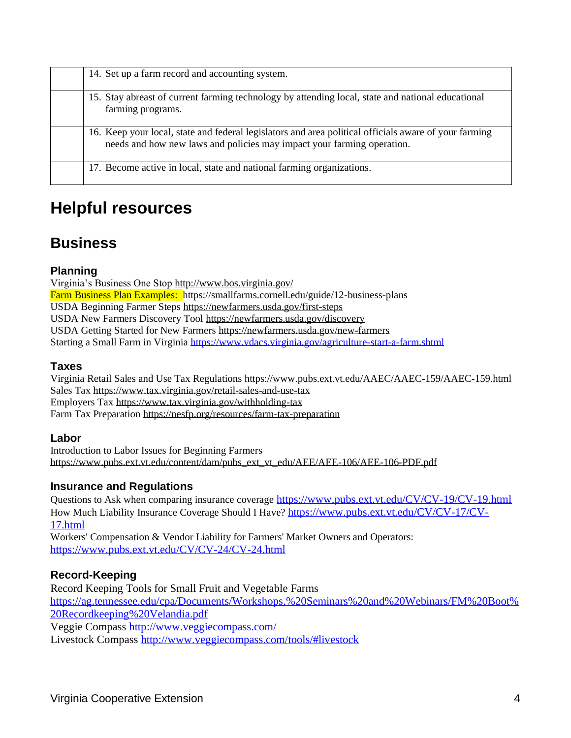| 14. Set up a farm record and accounting system.                                                                                                                                 |
|---------------------------------------------------------------------------------------------------------------------------------------------------------------------------------|
| 15. Stay abreast of current farming technology by attending local, state and national educational<br>farming programs.                                                          |
| 16. Keep your local, state and federal legislators and area political officials aware of your farming<br>needs and how new laws and policies may impact your farming operation. |
| 17. Become active in local, state and national farming organizations.                                                                                                           |

## **Helpful resources**

### **Business**

#### **Planning**

Virginia's Business One Stop<http://www.bos.virginia.gov/> Farm Business Plan Examples: https://smallfarms.cornell.edu/guide/12-business-plans USDA Beginning Farmer Steps<https://newfarmers.usda.gov/first-steps> USDA New Farmers Discovery Tool<https://newfarmers.usda.gov/discovery> USDA Getting Started for New Farmers<https://newfarmers.usda.gov/new-farmers> Starting a Small Farm in Virginia<https://www.vdacs.virginia.gov/agriculture-start-a-farm.shtml>

#### **Taxes**

Virginia Retail Sales and Use Tax Regulations<https://www.pubs.ext.vt.edu/AAEC/AAEC-159/AAEC-159.html> Sales Tax<https://www.tax.virginia.gov/retail-sales-and-use-tax> Employers Tax<https://www.tax.virginia.gov/withholding-tax> Farm Tax Preparation<https://nesfp.org/resources/farm-tax-preparation>

#### **Labor**

Introduction to Labor Issues for Beginning Farmers [https://www.pubs.ext.vt.edu/content/dam/pubs\\_ext\\_vt\\_edu/AEE/AEE-106/AEE-106-PDF.pdf](https://www.pubs.ext.vt.edu/content/dam/pubs_ext_vt_edu/AEE/AEE-106/AEE-106-PDF.pdf)

#### **Insurance and Regulations**

Questions to Ask when comparing insurance coverage <https://www.pubs.ext.vt.edu/CV/CV-19/CV-19.html> How Much Liability Insurance Coverage Should I Have? [https://www.pubs.ext.vt.edu/CV/CV-17/CV-](https://www.pubs.ext.vt.edu/CV/CV-17/CV-17.html)[17.html](https://www.pubs.ext.vt.edu/CV/CV-17/CV-17.html)

Workers' Compensation & Vendor Liability for Farmers' Market Owners and Operators: <https://www.pubs.ext.vt.edu/CV/CV-24/CV-24.html>

#### **Record-Keeping**

Record Keeping Tools for Small Fruit and Vegetable Farms [https://ag.tennessee.edu/cpa/Documents/Workshops,%20Seminars%20and%20Webinars/FM%20Boot%](https://ag.tennessee.edu/cpa/Documents/Workshops,%20Seminars%20and%20Webinars/FM%20Boot%20Recordkeeping%20Velandia.pdf) [20Recordkeeping%20Velandia.pdf](https://ag.tennessee.edu/cpa/Documents/Workshops,%20Seminars%20and%20Webinars/FM%20Boot%20Recordkeeping%20Velandia.pdf) Veggie Compass<http://www.veggiecompass.com/> Livestock Compass<http://www.veggiecompass.com/tools/#livestock>